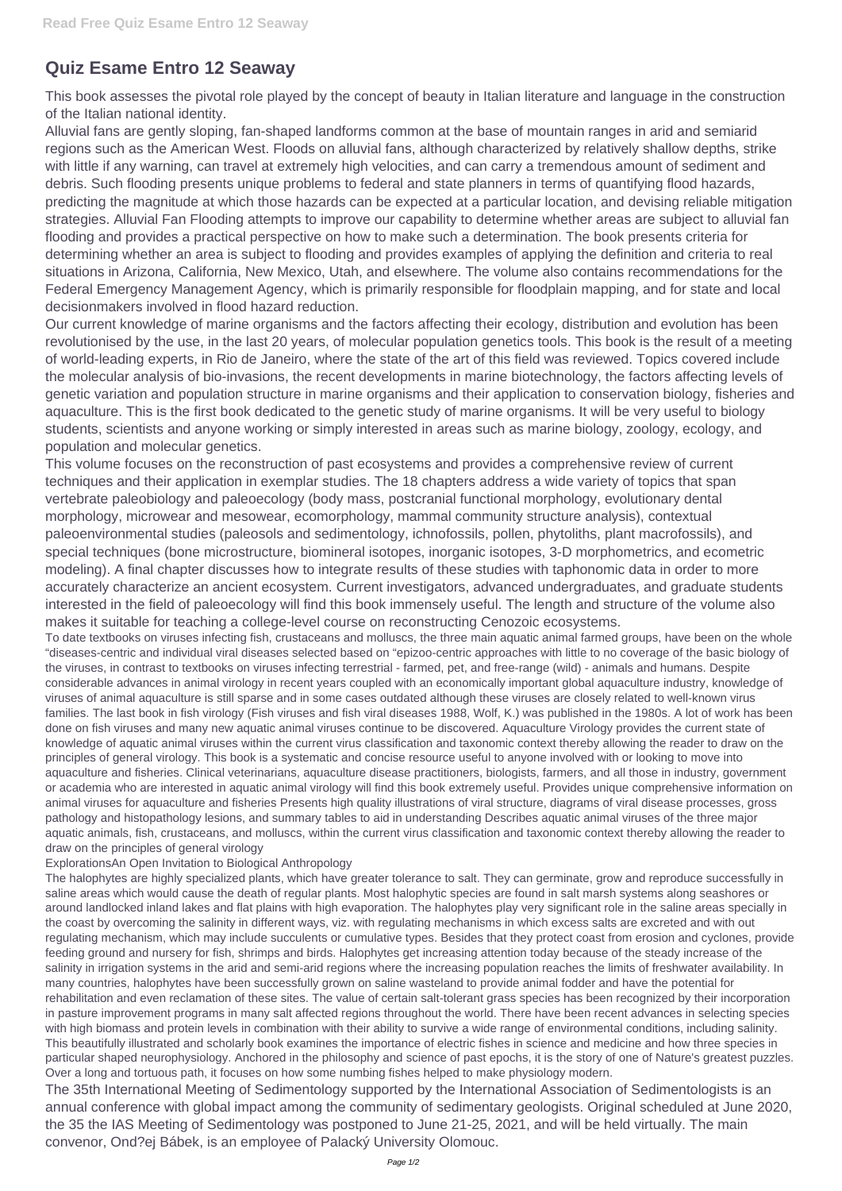## **Quiz Esame Entro 12 Seaway**

This book assesses the pivotal role played by the concept of beauty in Italian literature and language in the construction of the Italian national identity.

Alluvial fans are gently sloping, fan-shaped landforms common at the base of mountain ranges in arid and semiarid regions such as the American West. Floods on alluvial fans, although characterized by relatively shallow depths, strike with little if any warning, can travel at extremely high velocities, and can carry a tremendous amount of sediment and debris. Such flooding presents unique problems to federal and state planners in terms of quantifying flood hazards, predicting the magnitude at which those hazards can be expected at a particular location, and devising reliable mitigation strategies. Alluvial Fan Flooding attempts to improve our capability to determine whether areas are subject to alluvial fan flooding and provides a practical perspective on how to make such a determination. The book presents criteria for determining whether an area is subject to flooding and provides examples of applying the definition and criteria to real situations in Arizona, California, New Mexico, Utah, and elsewhere. The volume also contains recommendations for the Federal Emergency Management Agency, which is primarily responsible for floodplain mapping, and for state and local decisionmakers involved in flood hazard reduction.

Our current knowledge of marine organisms and the factors affecting their ecology, distribution and evolution has been revolutionised by the use, in the last 20 years, of molecular population genetics tools. This book is the result of a meeting of world-leading experts, in Rio de Janeiro, where the state of the art of this field was reviewed. Topics covered include the molecular analysis of bio-invasions, the recent developments in marine biotechnology, the factors affecting levels of genetic variation and population structure in marine organisms and their application to conservation biology, fisheries and aquaculture. This is the first book dedicated to the genetic study of marine organisms. It will be very useful to biology students, scientists and anyone working or simply interested in areas such as marine biology, zoology, ecology, and population and molecular genetics.

This volume focuses on the reconstruction of past ecosystems and provides a comprehensive review of current techniques and their application in exemplar studies. The 18 chapters address a wide variety of topics that span vertebrate paleobiology and paleoecology (body mass, postcranial functional morphology, evolutionary dental morphology, microwear and mesowear, ecomorphology, mammal community structure analysis), contextual paleoenvironmental studies (paleosols and sedimentology, ichnofossils, pollen, phytoliths, plant macrofossils), and special techniques (bone microstructure, biomineral isotopes, inorganic isotopes, 3-D morphometrics, and ecometric modeling). A final chapter discusses how to integrate results of these studies with taphonomic data in order to more accurately characterize an ancient ecosystem. Current investigators, advanced undergraduates, and graduate students interested in the field of paleoecology will find this book immensely useful. The length and structure of the volume also makes it suitable for teaching a college-level course on reconstructing Cenozoic ecosystems.

To date textbooks on viruses infecting fish, crustaceans and molluscs, the three main aquatic animal farmed groups, have been on the whole "diseases-centric and individual viral diseases selected based on "epizoo-centric approaches with little to no coverage of the basic biology of the viruses, in contrast to textbooks on viruses infecting terrestrial - farmed, pet, and free-range (wild) - animals and humans. Despite considerable advances in animal virology in recent years coupled with an economically important global aquaculture industry, knowledge of viruses of animal aquaculture is still sparse and in some cases outdated although these viruses are closely related to well-known virus families. The last book in fish virology (Fish viruses and fish viral diseases 1988, Wolf, K.) was published in the 1980s. A lot of work has been done on fish viruses and many new aquatic animal viruses continue to be discovered. Aquaculture Virology provides the current state of knowledge of aquatic animal viruses within the current virus classification and taxonomic context thereby allowing the reader to draw on the principles of general virology. This book is a systematic and concise resource useful to anyone involved with or looking to move into aquaculture and fisheries. Clinical veterinarians, aquaculture disease practitioners, biologists, farmers, and all those in industry, government or academia who are interested in aquatic animal virology will find this book extremely useful. Provides unique comprehensive information on animal viruses for aquaculture and fisheries Presents high quality illustrations of viral structure, diagrams of viral disease processes, gross pathology and histopathology lesions, and summary tables to aid in understanding Describes aquatic animal viruses of the three major aquatic animals, fish, crustaceans, and molluscs, within the current virus classification and taxonomic context thereby allowing the reader to draw on the principles of general virology

## ExplorationsAn Open Invitation to Biological Anthropology

The halophytes are highly specialized plants, which have greater tolerance to salt. They can germinate, grow and reproduce successfully in saline areas which would cause the death of regular plants. Most halophytic species are found in salt marsh systems along seashores or around landlocked inland lakes and flat plains with high evaporation. The halophytes play very significant role in the saline areas specially in the coast by overcoming the salinity in different ways, viz. with regulating mechanisms in which excess salts are excreted and with out regulating mechanism, which may include succulents or cumulative types. Besides that they protect coast from erosion and cyclones, provide feeding ground and nursery for fish, shrimps and birds. Halophytes get increasing attention today because of the steady increase of the salinity in irrigation systems in the arid and semi-arid regions where the increasing population reaches the limits of freshwater availability. In many countries, halophytes have been successfully grown on saline wasteland to provide animal fodder and have the potential for rehabilitation and even reclamation of these sites. The value of certain salt-tolerant grass species has been recognized by their incorporation in pasture improvement programs in many salt affected regions throughout the world. There have been recent advances in selecting species with high biomass and protein levels in combination with their ability to survive a wide range of environmental conditions, including salinity. This beautifully illustrated and scholarly book examines the importance of electric fishes in science and medicine and how three species in particular shaped neurophysiology. Anchored in the philosophy and science of past epochs, it is the story of one of Nature's greatest puzzles. Over a long and tortuous path, it focuses on how some numbing fishes helped to make physiology modern. The 35th International Meeting of Sedimentology supported by the International Association of Sedimentologists is an annual conference with global impact among the community of sedimentary geologists. Original scheduled at June 2020, the 35 the IAS Meeting of Sedimentology was postponed to June 21-25, 2021, and will be held virtually. The main convenor, Ond?ej Bábek, is an employee of Palacký University Olomouc.